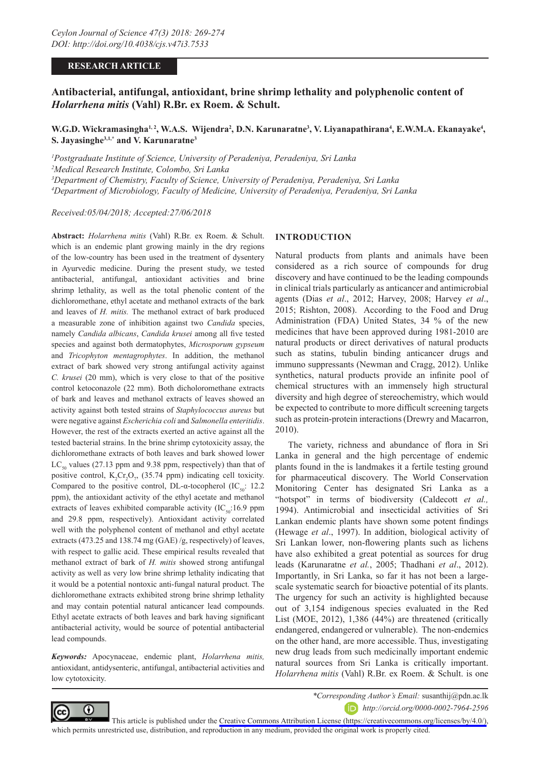## **RESEARCH ARTICLE**

# **Antibacterial, antifungal, antioxidant, brine shrimp lethality and polyphenolic content of**  *Holarrhena mitis* **(Vahl) R.Br. ex Roem. & Schult.**

**W.G.D. Wickramasingha½, W.A.S. Wijendra², D.N. Karunaratne3, V. Liyanapathirana4, E.W.M.A. Ekanayake4, S. Jayasinghe3,1,\* and V. Karunaratne3**

 *Postgraduate Institute of Science, University of Peradeniya, Peradeniya, Sri Lanka Medical Research Institute, Colombo, Sri Lanka Department of Chemistry, Faculty of Science, University of Peradeniya, Peradeniya, Sri Lanka Department of Microbiology, Faculty of Medicine, University of Peradeniya, Peradeniya, Sri Lanka*

*Received:05/04/2018; Accepted:27/06/2018*

**Abstract:** *Holarrhena mitis* (Vahl) R.Br. ex Roem. & Schult. which is an endemic plant growing mainly in the dry regions of the low-country has been used in the treatment of dysentery in Ayurvedic medicine. During the present study, we tested antibacterial, antifungal, antioxidant activities and brine shrimp lethality, as well as the total phenolic content of the dichloromethane, ethyl acetate and methanol extracts of the bark and leaves of *H. mitis.* The methanol extract of bark produced a measurable zone of inhibition against two *Candida* species, namely *Candida albicans*, *Candida krusei* among all five tested species and against both dermatophytes, *Microsporum gypseum* and *Tricophyton mentagrophytes*. In addition, the methanol extract of bark showed very strong antifungal activity against *C. krusei* (20 mm), which is very close to that of the positive control ketoconazole (22 mm). Both dicholoromethane extracts of bark and leaves and methanol extracts of leaves showed an activity against both tested strains of *Staphylococcus aureus* but were negative against *Escherichia coli* and *Salmonella enteritidis*. However, the rest of the extracts exerted an active against all the tested bacterial strains. In the brine shrimp cytotoxicity assay, the dichloromethane extracts of both leaves and bark showed lower  $LC_{50}$  values (27.13 ppm and 9.38 ppm, respectively) than that of positive control,  $K_2Cr_2O_7$ , (35.74 ppm) indicating cell toxicity. Compared to the positive control, DL- $\alpha$ -tocopherol (IC<sub>50</sub>: 12.2) ppm), the antioxidant activity of the ethyl acetate and methanol extracts of leaves exhibited comparable activity  $(IC_{50}:16.9$  ppm and 29.8 ppm, respectively). Antioxidant activity correlated well with the polyphenol content of methanol and ethyl acetate extracts (473.25 and 138.74 mg (GAE) /g, respectively) of leaves, with respect to gallic acid. These empirical results revealed that methanol extract of bark of *H. mitis* showed strong antifungal activity as well as very low brine shrimp lethality indicating that it would be a potential nontoxic anti-fungal natural product. The dichloromethane extracts exhibited strong brine shrimp lethality and may contain potential natural anticancer lead compounds. Ethyl acetate extracts of both leaves and bark having significant antibacterial activity, would be source of potential antibacterial lead compounds.

*Keywords:* Apocynaceae, endemic plant, *Holarrhena mitis,*  antioxidant, antidysenteric, antifungal, antibacterial activities and low cytotoxicity.

## **INTRODUCTION**

Natural products from plants and animals have been considered as a rich source of compounds for drug discovery and have continued to be the leading compounds in clinical trials particularly as anticancer and antimicrobial agents (Dias *et al*., 2012; Harvey, 2008; Harvey *et al*., 2015; Rishton, 2008). According to the Food and Drug Administration (FDA) United States, 34 % of the new medicines that have been approved during 1981-2010 are natural products or direct derivatives of natural products such as statins, tubulin binding anticancer drugs and immuno suppressants (Newman and Cragg, 2012). Unlike synthetics, natural products provide an infinite pool of chemical structures with an immensely high structural diversity and high degree of stereochemistry, which would be expected to contribute to more difficult screening targets such as protein-protein interactions (Drewry and Macarron, 2010).

The variety, richness and abundance of flora in Sri Lanka in general and the high percentage of endemic plants found in the is landmakes it a fertile testing ground for pharmaceutical discovery. The World Conservation Monitoring Center has designated Sri Lanka as a "hotspot" in terms of biodiversity (Caldecott *et al.,* 1994). Antimicrobial and insecticidal activities of Sri Lankan endemic plants have shown some potent findings (Hewage *et al*., 1997). In addition, biological activity of Sri Lankan lower, non-flowering plants such as lichens have also exhibited a great potential as sources for drug leads (Karunaratne *et al.*, 2005; Thadhani *et al*., 2012). Importantly, in Sri Lanka, so far it has not been a largescale systematic search for bioactive potential of its plants. The urgency for such an activity is highlighted because out of 3,154 indigenous species evaluated in the Red List (MOE, 2012), 1,386 (44%) are threatened (critically endangered, endangered or vulnerable). The non-endemics on the other hand, are more accessible. Thus, investigating new drug leads from such medicinally important endemic natural sources from Sri Lanka is critically important. *Holarrhena mitis* (Vahl) R.Br. ex Roem. & Schult. is one



*\*Corresponding Author's Email:* susanthij@pdn.ac.lk

*http://orcid.org/0000-0002-7964-2596*

This article is published under the [Creative Commons Attribution License \(https://creativecommons.org/licenses/by/4.0/\)](https://creativecommons.org/licenses/by/4.0/), which permits unrestricted use, distribution, and reproduction in any medium, provided the original work is properly cited.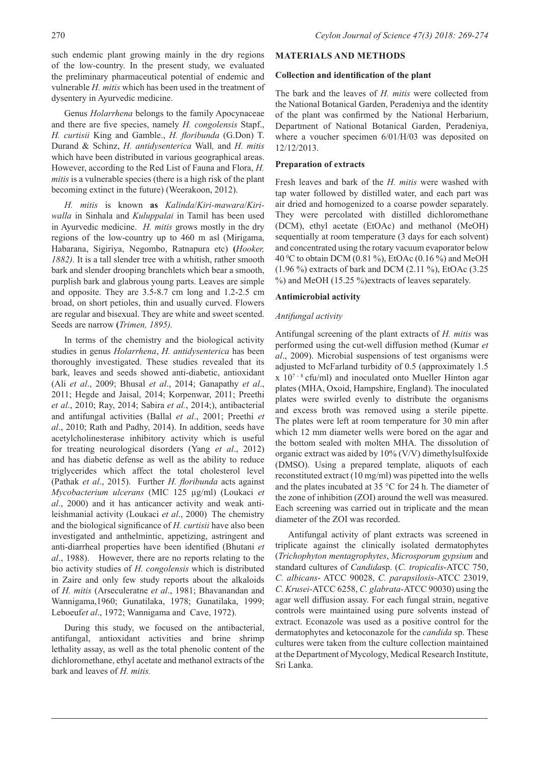such endemic plant growing mainly in the dry regions of the low-country. In the present study, we evaluated the preliminary pharmaceutical potential of endemic and vulnerable *H. mitis* which has been used in the treatment of dysentery in Ayurvedic medicine.

Genus *Holarrhena* belongs to the family Apocynaceae and there are five species, namely *H. congolensis* Stapf., *H. curtisii* King and Gamble., *H. floribunda* (G.Don) T. Durand & Schinz, *H. antidysenterica* Wall*,* and *H. mitis*  which have been distributed in various geographical areas. However, according to the Red List of Fauna and Flora, *H. mitis* is a vulnerable species (there is a high risk of the plant becoming extinct in the future) (Weerakoon, 2012).

*H. mitis* is known **as** *Kalinda*/*Kiri-mawara*/*Kiriwalla* in Sinhala and *Kuluppalai* in Tamil has been used in Ayurvedic medicine. *H. mitis* grows mostly in the dry regions of the low-country up to 460 m asl (Mirigama, Habarana, Sigiriya, Negombo, Ratnapura etc) **(***Hooker, 1882).* It is a tall slender tree with a whitish, rather smooth bark and slender drooping branchlets which bear a smooth, purplish bark and glabrous young parts. Leaves are simple and opposite. They are 3.5-8.7 cm long and 1.2-2.5 cm broad, on short petioles, thin and usually curved. Flowers are regular and bisexual. They are white and sweet scented. Seeds are narrow **(***Trimen, 1895).*

In terms of the chemistry and the biological activity studies in genus *Holarrhena*, *H. antidysenterica* has been thoroughly investigated. These studies revealed that its bark, leaves and seeds showed anti-diabetic, antioxidant (Ali *et al*., 2009; Bhusal *et al*., 2014; Ganapathy *et al*., 2011; Hegde and Jaisal, 2014; Korpenwar, 2011; Preethi *et al*., 2010; Ray, 2014; Sabira *et al.*, 2014;), antibacterial and antifungal activities (Ballal *et al*., 2001; Preethi *et al*., 2010; Rath and Padhy, 2014). In addition, seeds have acetylcholinesterase inhibitory activity which is useful for treating neurological disorders (Yang *et al*., 2012) and has diabetic defense as well as the ability to reduce triglycerides which affect the total cholesterol level (Pathak *et al*., 2015). Further *H. floribunda* acts against *Mycobacterium ulcerans* (MIC 125 µg/ml) (Loukaci *et al*., 2000) and it has anticancer activity and weak antileishmanial activity (Loukaci *et al*., 2000). The chemistry and the biological significance of *H. curtisii* have also been investigated and anthelmintic, appetizing, astringent and anti-diarrheal properties have been identified (Bhutani *et al*., 1988). However, there are no reports relating to the bio activity studies of *H. congolensis* which is distributed in Zaire and only few study reports about the alkaloids of *H. mitis* (Arseculeratne *et al*., 1981; Bhavanandan and Wannigama,1960; Gunatilaka, 1978; Gunatilaka, 1999; Leboeuf*et al*., 1972; Wannigama and Cave, 1972).

During this study, we focused on the antibacterial, antifungal, antioxidant activities and brine shrimp lethality assay, as well as the total phenolic content of the dichloromethane, ethyl acetate and methanol extracts of the bark and leaves of *H. mitis.*

## **MATERIALS AND METHODS**

#### **Collection and identification of the plant**

The bark and the leaves of *H. mitis* were collected from the National Botanical Garden, Peradeniya and the identity of the plant was confirmed by the National Herbarium, Department of National Botanical Garden, Peradeniya, where a voucher specimen 6/01/H/03 was deposited on 12/12/2013.

#### **Preparation of extracts**

Fresh leaves and bark of the *H. mitis* were washed with tap water followed by distilled water, and each part was air dried and homogenized to a coarse powder separately. They were percolated with distilled dichloromethane (DCM), ethyl acetate (EtOAc) and methanol (MeOH) sequentially at room temperature (3 days for each solvent) and concentrated using the rotary vacuum evaporator below 40 0 C to obtain DCM (0.81 %), EtOAc (0.16 %) and MeOH (1.96 %) extracts of bark and DCM (2.11 %), EtOAc (3.25 %) and MeOH (15.25 %)extracts of leaves separately.

#### **Antimicrobial activity**

## *Antifungal activity*

Antifungal screening of the plant extracts of *H. mitis* was performed using the cut-well diffusion method (Kumar *et al*., 2009). Microbial suspensions of test organisms were adjusted to McFarland turbidity of 0.5 (approximately 1.5  $x$  10<sup>7 - 8</sup> cfu/ml) and inoculated onto Mueller Hinton agar plates (MHA, Oxoid, Hampshire, England). The inoculated plates were swirled evenly to distribute the organisms and excess broth was removed using a sterile pipette. The plates were left at room temperature for 30 min after which 12 mm diameter wells were bored on the agar and the bottom sealed with molten MHA. The dissolution of organic extract was aided by 10% (V/V) dimethylsulfoxide (DMSO). Using a prepared template, aliquots of each reconstituted extract (10 mg/ml) was pipetted into the wells and the plates incubated at 35 °C for 24 h. The diameter of the zone of inhibition (ZOI) around the well was measured. Each screening was carried out in triplicate and the mean diameter of the ZOI was recorded.

Antifungal activity of plant extracts was screened in triplicate against the clinically isolated dermatophytes (*Trichophyton mentagrophytes*, *Microsporum gypsium* and standard cultures of *Candida*sp. (*C. tropicalis*-ATCC 750, *C. albicans*- ATCC 90028, *C. parapsilosis*-ATCC 23019, *C. Krusei*-ATCC 6258, *C. glabrata*-ATCC 90030) using the agar well diffusion assay. For each fungal strain, negative controls were maintained using pure solvents instead of extract. Econazole was used as a positive control for the dermatophytes and ketoconazole for the *candida* sp. These cultures were taken from the culture collection maintained at the Department of Mycology, Medical Research Institute, Sri Lanka.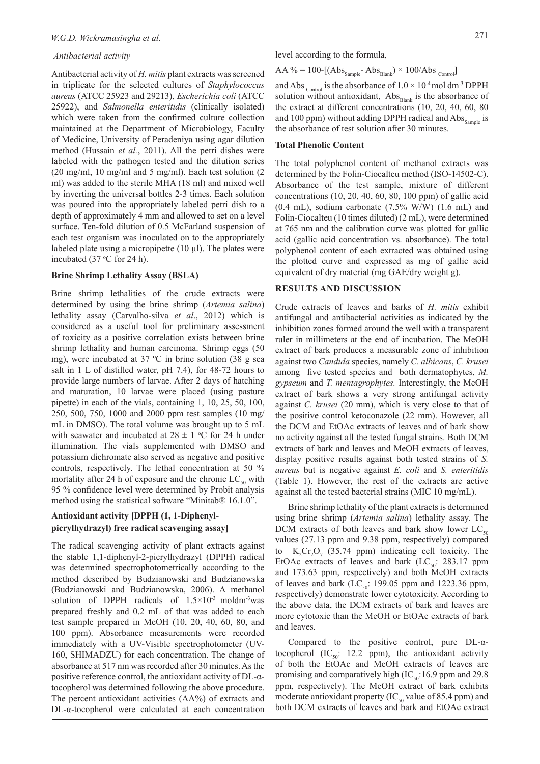#### *Antibacterial activity*

Antibacterial activity of *H. mitis* plant extracts was screened in triplicate for the selected cultures of *Staphylococcus aureus* (ATCC 25923 and 29213), *Escherichia coli* (ATCC 25922), and *Salmonella enteritidis* (clinically isolated) which were taken from the confirmed culture collection maintained at the Department of Microbiology, Faculty of Medicine, University of Peradeniya using agar dilution method (Hussain *et al.*, 2011). All the petri dishes were labeled with the pathogen tested and the dilution series (20 mg/ml, 10 mg/ml and 5 mg/ml). Each test solution (2 ml) was added to the sterile MHA (18 ml) and mixed well by inverting the universal bottles 2-3 times. Each solution was poured into the appropriately labeled petri dish to a depth of approximately 4 mm and allowed to set on a level surface. Ten-fold dilution of 0.5 McFarland suspension of each test organism was inoculated on to the appropriately labeled plate using a micropipette  $(10 \mu l)$ . The plates were incubated (37  $\degree$ C for 24 h).

#### **Brine Shrimp Lethality Assay (BSLA)**

Brine shrimp lethalities of the crude extracts were determined by using the brine shrimp (*Artemia salina*) lethality assay (Carvalho-silva *et al*., 2012) which is considered as a useful tool for preliminary assessment of toxicity as a positive correlation exists between brine shrimp lethality and human carcinoma. Shrimp eggs (50 mg), were incubated at 37 ºC in brine solution (38 g sea salt in 1 L of distilled water, pH 7.4), for 48-72 hours to provide large numbers of larvae. After 2 days of hatching and maturation, 10 larvae were placed (using pasture pipette) in each of the vials, containing 1, 10, 25, 50, 100, 250, 500, 750, 1000 and 2000 ppm test samples (10 mg/ mL in DMSO). The total volume was brought up to 5 mL with seawater and incubated at  $28 \pm 1$  °C for 24 h under illumination. The vials supplemented with DMSO and potassium dichromate also served as negative and positive controls, respectively. The lethal concentration at 50 % mortality after 24 h of exposure and the chronic  $LC_{50}$  with 95 % confidence level were determined by Probit analysis method using the statistical software "Minitab® 16.1.0".

# **Antioxidant activity [DPPH (1, 1-Diphenylpicrylhydrazyl) free radical scavenging assay]**

The radical scavenging activity of plant extracts against the stable 1,1-diphenyl-2-picrylhydrazyl (DPPH) radical was determined spectrophotometrically according to the method described by Budzianowski and Budzianowska (Budzianowski and Budzianowska, 2006). A methanol solution of DPPH radicals of  $1.5 \times 10^{-3}$  moldm<sup>-3</sup>was prepared freshly and 0.2 mL of that was added to each test sample prepared in MeOH (10, 20, 40, 60, 80, and 100 ppm). Absorbance measurements were recorded immediately with a UV-Visible spectrophotometer (UV-160, SHIMADZU) for each concentration. The change of absorbance at 517 nm was recorded after 30 minutes. As the positive reference control, the antioxidant activity of DL-αtocopherol was determined following the above procedure. The percent antioxidant activities (AA%) of extracts and DL-α-tocopherol were calculated at each concentration

$$
AA\% = 100 - [(Abs_{Sample} - Abs_{Black}) \times 100 / Abs_{Control}]
$$

and Abs <sub>Control</sub> is the absorbance of  $1.0 \times 10^{-4}$  mol dm<sup>-3</sup> DPPH solution without antioxidant,  $\mathrm{Abs}_{\mathrm{Blank}}$  is the absorbance of the extract at different concentrations (10, 20, 40, 60, 80 and 100 ppm) without adding DPPH radical and  $\text{Abs}_{\text{Sample}}$  is the absorbance of test solution after 30 minutes.

#### **Total Phenolic Content**

The total polyphenol content of methanol extracts was determined by the Folin-Ciocalteu method (ISO-14502-C). Absorbance of the test sample, mixture of different concentrations (10, 20, 40, 60, 80, 100 ppm) of gallic acid  $(0.4 \text{ mL})$ , sodium carbonate  $(7.5\% \text{ W/W})$   $(1.6 \text{ mL})$  and Folin-Ciocalteu (10 times diluted) (2 mL), were determined at 765 nm and the calibration curve was plotted for gallic acid (gallic acid concentration vs. absorbance). The total polyphenol content of each extracted was obtained using the plotted curve and expressed as mg of gallic acid equivalent of dry material (mg GAE/dry weight g).

#### **RESULTS AND DISCUSSION**

Crude extracts of leaves and barks of *H. mitis* exhibit antifungal and antibacterial activities as indicated by the inhibition zones formed around the well with a transparent ruler in millimeters at the end of incubation. The MeOH extract of bark produces a measurable zone of inhibition against two *Candida* species, namely *C. albicans*, *C. krusei*  among five tested species and both dermatophytes, *M. gypseum* and *T. mentagrophytes.* Interestingly, the MeOH extract of bark shows a very strong antifungal activity against *C. krusei* (20 mm), which is very close to that of the positive control ketoconazole (22 mm). However, all the DCM and EtOAc extracts of leaves and of bark show no activity against all the tested fungal strains. Both DCM extracts of bark and leaves and MeOH extracts of leaves, display positive results against both tested strains of *S. aureus* but is negative against *E. coli* and *S. enteritidis*  (Table 1). However, the rest of the extracts are active against all the tested bacterial strains (MIC 10 mg/mL).

Brine shrimp lethality of the plant extracts is determined using brine shrimp (*Artemia salina*) lethality assay. The DCM extracts of both leaves and bark show lower  $LC_{50}$ values (27.13 ppm and 9.38 ppm, respectively) compared to  $K_2Cr_2O_7$  (35.74 ppm) indicating cell toxicity. The EtOAc extracts of leaves and bark  $(LC_{0.0}$ : 283.17 ppm and 173.63 ppm, respectively) and both MeOH extracts of leaves and bark (LC<sub>50</sub>: 199.05 ppm and 1223.36 ppm, respectively) demonstrate lower cytotoxicity. According to the above data, the DCM extracts of bark and leaves are more cytotoxic than the MeOH or EtOAc extracts of bark and leaves.

Compared to the positive control, pure DL-αtocopherol  $(IC_{50}: 12.2$  ppm), the antioxidant activity of both the EtOAc and MeOH extracts of leaves are promising and comparatively high (IC $_{50}$ :16.9 ppm and 29.8 ppm, respectively). The MeOH extract of bark exhibits moderate antioxidant property (IC $_{50}$  value of 85.4 ppm) and both DCM extracts of leaves and bark and EtOAc extract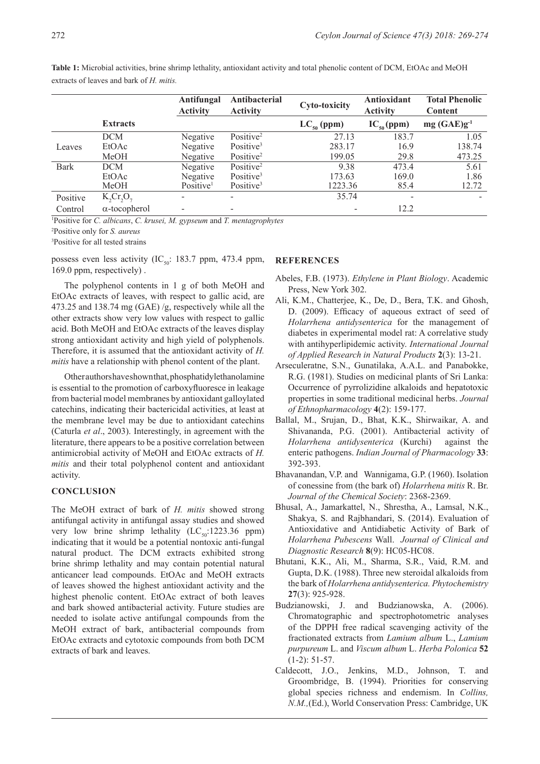|             |                      | Antifungal<br><b>Activity</b> | Antibacterial<br><b>Activity</b> | <b>Cyto-toxicity</b> | Antioxidant<br><b>Activity</b> | <b>Total Phenolic</b><br>Content |
|-------------|----------------------|-------------------------------|----------------------------------|----------------------|--------------------------------|----------------------------------|
|             | <b>Extracts</b>      |                               |                                  | $LC_{50}$ (ppm)      | $IC_{50}(ppm)$                 | $mg(GAE)g^{-1}$                  |
|             | <b>DCM</b>           | Negative                      | Positive <sup>2</sup>            | 27.13                | 183.7                          | 1.05                             |
| Leaves      | EtOAc                | Negative                      | Positive <sup>3</sup>            | 283.17               | 16.9                           | 138.74                           |
|             | MeOH                 | Negative                      | Positive <sup>2</sup>            | 199.05               | 29.8                           | 473.25                           |
| <b>Bark</b> | <b>DCM</b>           | Negative                      | Positive <sup>2</sup>            | 9.38                 | 473.4                          | 5.61                             |
|             | EtOAc                | Negative                      | Positive <sup>3</sup>            | 173.63               | 169.0                          | 1.86                             |
|             | MeOH                 | Positive <sup>1</sup>         | Positive <sup>3</sup>            | 1223.36              | 85.4                           | 12.72                            |
| Positive    | K, Cr, O,            | $\overline{\phantom{0}}$      | $\overline{\phantom{a}}$         | 35.74                |                                |                                  |
| Control     | $\alpha$ -tocopherol |                               |                                  |                      | 12.2                           |                                  |

**Table 1:** Microbial activities, brine shrimp lethality, antioxidant activity and total phenolic content of DCM, EtOAc and MeOH extracts of leaves and bark of *H. mitis.*

1 Positive for *C. albicans*, *C. krusei, M. gypseum* and *T. mentagrophytes*

2 Positive only for *S. aureus*

3 Positive for all tested strains

possess even less activity (IC<sub>50</sub>: 183.7 ppm, 473.4 ppm, 169.0 ppm, respectively) .

The polyphenol contents in 1 g of both MeOH and EtOAc extracts of leaves, with respect to gallic acid, are 473.25 and 138.74 mg (GAE) /g, respectively while all the other extracts show very low values with respect to gallic acid. Both MeOH and EtOAc extracts of the leaves display strong antioxidant activity and high yield of polyphenols. Therefore, it is assumed that the antioxidant activity of *H. mitis* have a relationship with phenol content of the plant.

Other authors have shown that, phosphatidylethanolamine is essential to the promotion of carboxyfluoresce in leakage from bacterial model membranes by antioxidant galloylated catechins, indicating their bactericidal activities, at least at the membrane level may be due to antioxidant catechins (Caturla *et al*., 2003). Interestingly, in agreement with the literature, there appears to be a positive correlation between antimicrobial activity of MeOH and EtOAc extracts of *H. mitis* and their total polyphenol content and antioxidant activity.

#### **CONCLUSION**

The MeOH extract of bark of *H. mitis* showed strong antifungal activity in antifungal assay studies and showed very low brine shrimp lethality  $(LC_{50}:1223.36$  ppm) indicating that it would be a potential nontoxic anti-fungal natural product. The DCM extracts exhibited strong brine shrimp lethality and may contain potential natural anticancer lead compounds. EtOAc and MeOH extracts of leaves showed the highest antioxidant activity and the highest phenolic content. EtOAc extract of both leaves and bark showed antibacterial activity. Future studies are needed to isolate active antifungal compounds from the MeOH extract of bark, antibacterial compounds from EtOAc extracts and cytotoxic compounds from both DCM extracts of bark and leaves.

# **REFERENCES**

- Abeles, F.B. (1973). *Ethylene in Plant Biology*. Academic Press, New York 302.
- Ali, K.M., Chatterjee, K., De, D., Bera, T.K. and Ghosh, D. (2009). Efficacy of aqueous extract of seed of *Holarrhena antidysenterica* for the management of diabetes in experimental model rat: A correlative study with antihyperlipidemic activity. *International Journal of Applied Research in Natural Products* **2**(3): 13-21.
- Arseculeratne, S.N., Gunatilaka, A.A.L. and Panabokke, R.G. (1981). Studies on medicinal plants of Sri Lanka: Occurrence of pyrrolizidine alkaloids and hepatotoxic properties in some traditional medicinal herbs. *Journal of Ethnopharmacology* **4**(2): 159-177.
- Ballal, M., Srujan, D., Bhat, K.K., Shirwaikar, A. and Shivananda, P.G. (2001). Antibacterial activity of *Holarrhena antidysenterica* (Kurchi) against the enteric pathogens. *Indian Journal of Pharmacology* **33**: 392-393.
- Bhavanandan, V.P. and Wannigama, G.P. (1960). Isolation of conessine from (the bark of) *Holarrhena mitis* R. Br. *Journal of the Chemical Society*: 2368-2369.
- Bhusal, A., Jamarkattel, N., Shrestha, A., Lamsal, N.K., Shakya, S. and Rajbhandari, S. (2014). Evaluation of Antioxidative and Antidiabetic Activity of Bark of *Holarrhena Pubescens* Wall. *Journal of Clinical and Diagnostic Research* **8**(9): HC05-HC08.
- Bhutani, K.K., Ali, M., Sharma, S.R., Vaid, R.M. and Gupta, D.K. (1988). Three new steroidal alkaloids from the bark of *Holarrhena antidysenterica. Phytochemistry* **27**(3): 925-928.
- Budzianowski, J. and Budzianowska, A. (2006). Chromatographic and spectrophotometric analyses of the DPPH free radical scavenging activity of the fractionated extracts from *Lamium album* L., *Lamium purpureum* L. and *Viscum album* L. *Herba Polonica* **52**  (1-2): 51-57.
- Caldecott, J.O., Jenkins, M.D., Johnson, T. and Groombridge, B. (1994). Priorities for conserving global species richness and endemism. In *Collins, N.M.,*(Ed.), World Conservation Press: Cambridge, UK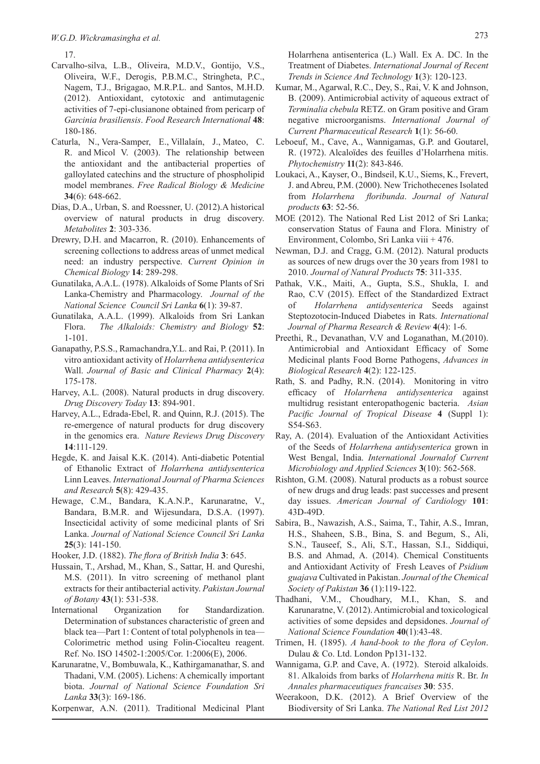17.

- Carvalho-silva, L.B., Oliveira, M.D.V., Gontijo, V.S., Oliveira, W.F., Derogis, P.B.M.C., Stringheta, P.C., Nagem, T.J., Brigagao, M.R.P.L. and Santos, M.H.D. (2012). Antioxidant, cytotoxic and antimutagenic activities of 7-epi-clusianone obtained from pericarp of *Garcinia brasiliensis*. *Food Research International* **48**: 180-186.
- Caturla, N., Vera-Samper, E., Villalaín, J., Mateo, C. R. and Micol V. (2003). The relationship between the antioxidant and the antibacterial properties of galloylated catechins and the structure of phospholipid model membranes. *Free Radical Biology & Medicine* **34**(6): 648-662.
- Dias, D.A., Urban, S. and Roessner, U. (2012).A historical overview of natural products in drug discovery. *Metabolites* **2**: 303-336.
- Drewry, D.H. and Macarron, R. (2010). Enhancements of screening collections to address areas of unmet medical need: an industry perspective. *Current Opinion in Chemical Biology* **14**: 289-298.
- Gunatilaka, A.A.L. (1978). Alkaloids of Some Plants of Sri Lanka-Chemistry and Pharmacology. *Journal of the National Science Council Sri Lanka* **6**(1): 39-87.
- Gunatilaka, A.A.L. (1999). Alkaloids from Sri Lankan Flora. *The Alkaloids: Chemistry and Biology* **52**: 1-101.
- Ganapathy, P.S.S., Ramachandra,Y.L. and Rai, P. (2011). In vitro antioxidant activity of *Holarrhena antidysenterica* Wall. *Journal of Basic and Clinical Pharmacy* **2**(4): 175-178.
- Harvey, A.L. (2008). Natural products in drug discovery. *Drug Discovery Today* **13**: 894-901.
- Harvey, A.L., Edrada-Ebel, R. and Quinn, R.J. (2015). The re-emergence of natural products for drug discovery in the genomics era. *Nature Reviews Drug Discovery*  **14**:111-129.
- Hegde, K. and Jaisal K.K. (2014). Anti-diabetic Potential of Ethanolic Extract of *Holarrhena antidysenterica* Linn Leaves. *International Journal of Pharma Sciences and Research* **5**(8): 429-435.
- Hewage, C.M., Bandara, K.A.N.P., Karunaratne, V., Bandara, B.M.R. and Wijesundara, D.S.A. (1997). Insecticidal activity of some medicinal plants of Sri Lanka. *Journal of National Science Council Sri Lanka*  **25**(3): 141-150.
- Hooker, J.D. (1882). *The flora of British India* **3**: 645.
- Hussain, T., Arshad, M., Khan, S., Sattar, H. and Qureshi, M.S. (2011). In vitro screening of methanol plant extracts for their antibacterial activity. *Pakistan Journal of Botany* **43**(1): 531-538.
- International Organization for Standardization. Determination of substances characteristic of green and black tea—Part 1: Content of total polyphenols in tea— Colorimetric method using Folin-Ciocalteu reagent. Ref. No. ISO 14502-1:2005/Cor. 1:2006(E), 2006.
- Karunaratne, V., Bombuwala, K., Kathirgamanathar, S. and Thadani, V.M. (2005). Lichens: A chemically important biota. *Journal of National Science Foundation Sri Lanka* **33**(3): 169-186.
- Korpenwar, A.N. (2011). Traditional Medicinal Plant

Holarrhena antisenterica (L.) Wall. Ex A. DC. In the Treatment of Diabetes. *International Journal of Recent Trends in Science And Technology* **1**(3): 120-123.

- Kumar, M., Agarwal, R.C., Dey, S., Rai, V. K and Johnson, B. (2009). Antimicrobial activity of aqueous extract of *Terminalia chebula* RETZ. on Gram positive and Gram negative microorganisms. *International Journal of Current Pharmaceutical Research* **1**(1): 56-60.
- Leboeuf, M., Cave, A., Wannigamas, G.P. and Goutarel, R. (1972). Alcaloïdes des feuilles d'Holarrhena mitis. *Phytochemistry* **11**(2): 843-846.
- Loukaci, A., Kayser, O., Bindseil, K.U., Siems, K., Frevert, J. and Abreu, P.M. (2000). New Trichothecenes Isolated from *Holarrhena floribunda*. *Journal of Natural products* **63**: 52-56.
- MOE (2012). The National Red List 2012 of Sri Lanka; conservation Status of Fauna and Flora. Ministry of Environment, Colombo, Sri Lanka viii + 476.
- Newman, D.J. and Cragg, G.M. (2012). Natural products as sources of new drugs over the 30 years from 1981 to 2010. *Journal of Natural Products* **75**: 311-335.
- Pathak, V.K., Maiti, A., Gupta, S.S., Shukla, I. and Rao, C.V (2015). Effect of the Standardized Extract of *Holarrhena antidysenterica* Seeds against Steptozotocin-Induced Diabetes in Rats. *International Journal of Pharma Research & Review* **4**(4): 1-6.
- Preethi, R., Devanathan, V.V and Loganathan, M.(2010). Antimicrobial and Antioxidant Efficacy of Some Medicinal plants Food Borne Pathogens, *Advances in Biological Research* **4**(2): 122-125.
- Rath, S. and Padhy, R.N. (2014). Monitoring in vitro efficacy of *Holarrhena antidysenterica* against multidrug resistant enteropathogenic bacteria. *Asian Pacific Journal of Tropical Disease* **4** (Suppl 1): S54-S63.
- Ray, A. (2014). Evaluation of the Antioxidant Activities of the Seeds of *Holarrhena antidysenterica* grown in West Bengal, India. *International Journalof Current Microbiology and Applied Sciences* **3**(10): 562-568.
- Rishton, G.M. (2008). Natural products as a robust source of new drugs and drug leads: past successes and present day issues. *American Journal of Cardiology* **101**: 43D-49D.
- Sabira, B., Nawazish, A.S., Saima, T., Tahir, A.S., Imran, H.S., Shaheen, S.B., Bina, S. and Begum, S., Ali, S.N., Tauseef, S., Ali, S.T., Hassan, S.I., Siddiqui, B.S. and Ahmad, A. (2014). Chemical Constituents and Antioxidant Activity of Fresh Leaves of *Psidium guajava* Cultivated in Pakistan. *Journal of the Chemical Society of Pakistan* **36** (1):119-122.
- Thadhani, V.M., Choudhary, M.I., Khan, S. and Karunaratne, V. (2012). Antimicrobial and toxicological activities of some depsides and depsidones. *Journal of National Science Foundation* **40**(1):43-48.
- Trimen, H. (1895). *A hand-book to the flora of Ceylon*. Dulau & Co. Ltd. London Pp131-132.
- Wannigama, G.P. and Cave, A. (1972). Steroid alkaloids. 81. Alkaloids from barks of *Holarrhena mitis* R. Br. *In Annales pharmaceutiques francaises* **30**: 535.
- Weerakoon, D.K. (2012). A Brief Overview of the Biodiversity of Sri Lanka. *The National Red List 2012*